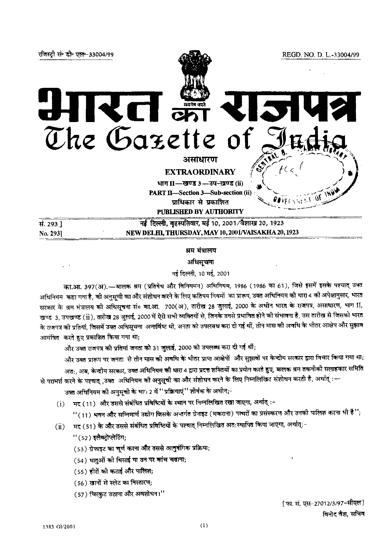

## श्रम मंत्रालय

अधिसूचना

नई दिल्ली, 10 मई, 2001

का.आ. 397(अ).— बालक श्रम (प्रतिषेध और विनियमन) अधिनियम, 1986 (1986 का 61), जिसे इसमें इसके पश्चात् उक्त अधिनियम कहा गया है, को अनुसूची का और संशोधन करने के लिए कतिपय नियमों का प्रारूप, उक्त अधिनियम को धारा 4 की अपेक्षानुसार, भारत सरकार के श्रम मंत्रालय की अधिसूचना सं० का.आ. 700(अ), तारीख 28 जुलाई, 2000 के अधीन भारत के राजपत्र, असाधारण, भाग II, खण्ड 3, उपखण्ड (ii), तारीख 28 जुलाई, 2000 में ऐसे सभी व्यक्तियों से, जिनके उमसे प्रभावित होने की संभावना है, उस तारीख से जिसको भारत के राजपत्र को प्रतियां, जिसमें उक्त अधिसूचना अन्तर्विष्ट थी, जनता को उपलबध करा दी गई थीं, तीन मास की अवधि के भीतर आक्षेप और सुझाव आमंत्रित करते हुए प्रकाशित किया गया था;

और उक्त राजपत्र की प्रतियां जनता को 31 जुलाई, 2000 को उपलब्ध करा दी गई थीं;

और उक्त प्रारूप पर जनता से तीन मास की अवधि के भीतर प्राप्त आक्षेपों और सुझावों पर केन्दीय सरकार द्वारा विचार किया गया था; अतः, अब, केन्द्रीय सरकार, उक्त अधिनियम की धारा 4 द्वारा प्रदत्त शक्तियों का प्रयोग करते हुए, बालक श्रम तकनीकी सलाहकार समिति से परामर्श करने के पश्चात् ,उक्त अधिनियम को अनुसूची का और संशोधन करने के लिए निम्नलिखित संशोधन करती है, अर्थात्

उक्त अधिनियम की अनुसूची के भाग 2 में ''प्रक्रियाएं'' शीर्षक के अधीन;⊣

(i) मद (11) और उससे संबंधित प्रविष्टियों के स्थान पर निम्नलिखित रखा जाएगा, अर्थात् :-

" (11) भवन और सन्निमार्ण उद्योग जिसके अन्तर्गत ग्रेनाइट (मकराना) पत्थरों का प्रसंस्करण और उनकी पालिश करना भी है";

- मद (51) के और उससे संबंधित प्रविष्टियों के पश्चात् निम्नलिखित अत:स्थापित किया जाएगा, अर्थात्:−  $\rm (ii)$ 
	- " (52) इलैक्ट्रोप्लेटिंग;
	- (53) ग्रेफाइट का चूर्ण करना और उससे आनुवंगिक प्रक्रिया;
	- (54) धातुओं की धिसाई या उन पर कांच चढाना;
	- (55) हीरों की कटाई और पालिश;
	- (56) खानों से स्लेट का मिस्तारण;
	- (57) चिरकुट उठाना और अवशोधन।"

[ फा. सं. एस-27012/3/97-सीएल] विनोद वैश, सचिव